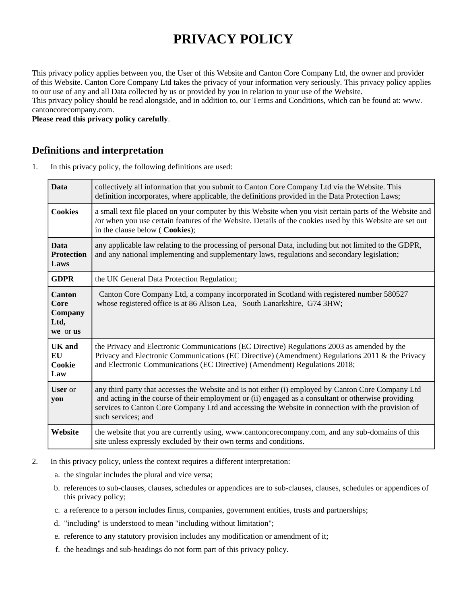# **PRIVACY POLICY**

This privacy policy applies between you, the User of this Website and Canton Core Company Ltd, the owner and provider of this Website. Canton Core Company Ltd takes the privacy of your information very seriously. This privacy policy applies to our use of any and all Data collected by us or provided by you in relation to your use of the Website. This privacy policy should be read alongside, and in addition to, our Terms and Conditions, which can be found at: www. cantoncorecompany.com.

**Please read this privacy policy carefully**.

## **Definitions and interpretation**

1. In this privacy policy, the following definitions are used:

| <b>Data</b>                                          | collectively all information that you submit to Canton Core Company Ltd via the Website. This<br>definition incorporates, where applicable, the definitions provided in the Data Protection Laws;                                                                                                                                     |  |
|------------------------------------------------------|---------------------------------------------------------------------------------------------------------------------------------------------------------------------------------------------------------------------------------------------------------------------------------------------------------------------------------------|--|
| <b>Cookies</b>                                       | a small text file placed on your computer by this Website when you visit certain parts of the Website and<br>/or when you use certain features of the Website. Details of the cookies used by this Website are set out<br>in the clause below ( Cookies);                                                                             |  |
| <b>Data</b><br><b>Protection</b><br>Laws             | any applicable law relating to the processing of personal Data, including but not limited to the GDPR,<br>and any national implementing and supplementary laws, regulations and secondary legislation;                                                                                                                                |  |
| <b>GDPR</b>                                          | the UK General Data Protection Regulation;                                                                                                                                                                                                                                                                                            |  |
| <b>Canton</b><br>Core<br>Company<br>Ltd,<br>we or us | Canton Core Company Ltd, a company incorporated in Scotland with registered number 580527<br>whose registered office is at 86 Alison Lea, South Lanarkshire, G74 3HW;                                                                                                                                                                 |  |
| <b>UK</b> and<br>EU<br>Cookie<br>Law                 | the Privacy and Electronic Communications (EC Directive) Regulations 2003 as amended by the<br>Privacy and Electronic Communications (EC Directive) (Amendment) Regulations 2011 & the Privacy<br>and Electronic Communications (EC Directive) (Amendment) Regulations 2018;                                                          |  |
| <b>User</b> or<br>you                                | any third party that accesses the Website and is not either (i) employed by Canton Core Company Ltd<br>and acting in the course of their employment or (ii) engaged as a consultant or otherwise providing<br>services to Canton Core Company Ltd and accessing the Website in connection with the provision of<br>such services; and |  |
| Website                                              | the website that you are currently using, www.cantoncorecompany.com, and any sub-domains of this<br>site unless expressly excluded by their own terms and conditions.                                                                                                                                                                 |  |

- 2. In this privacy policy, unless the context requires a different interpretation:
	- a. the singular includes the plural and vice versa;
	- b. references to sub-clauses, clauses, schedules or appendices are to sub-clauses, clauses, schedules or appendices of this privacy policy;
	- c. a reference to a person includes firms, companies, government entities, trusts and partnerships;
	- d. "including" is understood to mean "including without limitation";
	- e. reference to any statutory provision includes any modification or amendment of it;
	- f. the headings and sub-headings do not form part of this privacy policy.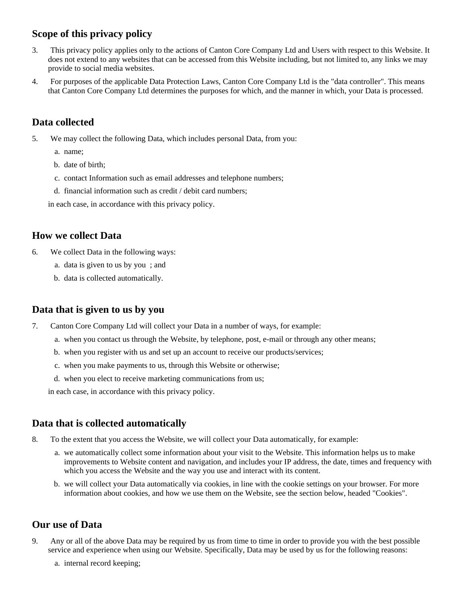# **Scope of this privacy policy**

- 3. This privacy policy applies only to the actions of Canton Core Company Ltd and Users with respect to this Website. It does not extend to any websites that can be accessed from this Website including, but not limited to, any links we may provide to social media websites.
- 4. For purposes of the applicable Data Protection Laws, Canton Core Company Ltd is the "data controller". This means that Canton Core Company Ltd determines the purposes for which, and the manner in which, your Data is processed.

## **Data collected**

- 5. We may collect the following Data, which includes personal Data, from you:
	- a. name;
	- b. date of birth;
	- c. contact Information such as email addresses and telephone numbers;
	- d. financial information such as credit / debit card numbers;

in each case, in accordance with this privacy policy.

#### **How we collect Data**

- 6. We collect Data in the following ways:
	- a. data is given to us by you ; and
	- b. data is collected automatically.

## **Data that is given to us by you**

- 7. Canton Core Company Ltd will collect your Data in a number of ways, for example:
	- a. when you contact us through the Website, by telephone, post, e-mail or through any other means;
	- b. when you register with us and set up an account to receive our products/services;
	- c. when you make payments to us, through this Website or otherwise;
	- d. when you elect to receive marketing communications from us;

in each case, in accordance with this privacy policy.

#### **Data that is collected automatically**

- 8. To the extent that you access the Website, we will collect your Data automatically, for example:
	- a. we automatically collect some information about your visit to the Website. This information helps us to make improvements to Website content and navigation, and includes your IP address, the date, times and frequency with which you access the Website and the way you use and interact with its content.
	- b. we will collect your Data automatically via cookies, in line with the cookie settings on your browser. For more information about cookies, and how we use them on the Website, see the section below, headed "Cookies".

## **Our use of Data**

- 9. Any or all of the above Data may be required by us from time to time in order to provide you with the best possible service and experience when using our Website. Specifically, Data may be used by us for the following reasons:
	- a. internal record keeping;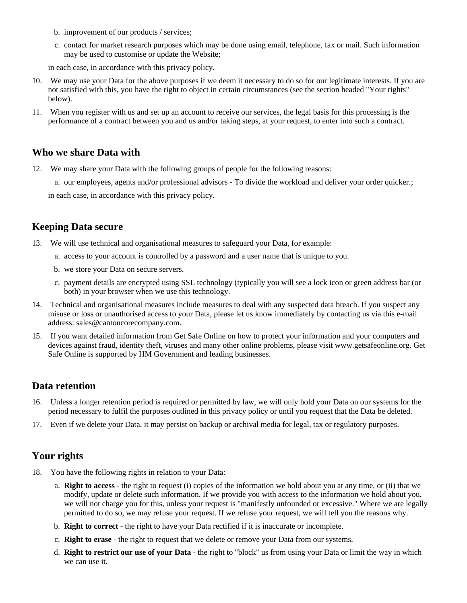- b. improvement of our products / services;
- c. contact for market research purposes which may be done using email, telephone, fax or mail. Such information may be used to customise or update the Website;

in each case, in accordance with this privacy policy.

- 10. We may use your Data for the above purposes if we deem it necessary to do so for our legitimate interests. If you are not satisfied with this, you have the right to object in certain circumstances (see the section headed "Your rights" below).
- 11. When you register with us and set up an account to receive our services, the legal basis for this processing is the performance of a contract between you and us and/or taking steps, at your request, to enter into such a contract.

#### **Who we share Data with**

- 12. We may share your Data with the following groups of people for the following reasons:
	- a. our employees, agents and/or professional advisors To divide the workload and deliver your order quicker.;

in each case, in accordance with this privacy policy.

## **Keeping Data secure**

13. We will use technical and organisational measures to safeguard your Data, for example:

- a. access to your account is controlled by a password and a user name that is unique to you.
- b. we store your Data on secure servers.
- c. payment details are encrypted using SSL technology (typically you will see a lock icon or green address bar (or both) in your browser when we use this technology.
- 14. Technical and organisational measures include measures to deal with any suspected data breach. If you suspect any misuse or loss or unauthorised access to your Data, please let us know immediately by contacting us via this e-mail address: sales@cantoncorecompany.com.
- 15. If you want detailed information from Get Safe Online on how to protect your information and your computers and devices against fraud, identity theft, viruses and many other online problems, please visit www.getsafeonline.org. Get Safe Online is supported by HM Government and leading businesses.

#### **Data retention**

- 16. Unless a longer retention period is required or permitted by law, we will only hold your Data on our systems for the period necessary to fulfil the purposes outlined in this privacy policy or until you request that the Data be deleted.
- 17. Even if we delete your Data, it may persist on backup or archival media for legal, tax or regulatory purposes.

## **Your rights**

- 18. You have the following rights in relation to your Data:
	- a. **Right to access** the right to request (i) copies of the information we hold about you at any time, or (ii) that we modify, update or delete such information. If we provide you with access to the information we hold about you, we will not charge you for this, unless your request is "manifestly unfounded or excessive." Where we are legally permitted to do so, we may refuse your request. If we refuse your request, we will tell you the reasons why.
	- b. **Right to correct** the right to have your Data rectified if it is inaccurate or incomplete.
	- c. **Right to erase** the right to request that we delete or remove your Data from our systems.
	- d. **Right to restrict our use of your Data** the right to "block" us from using your Data or limit the way in which we can use it.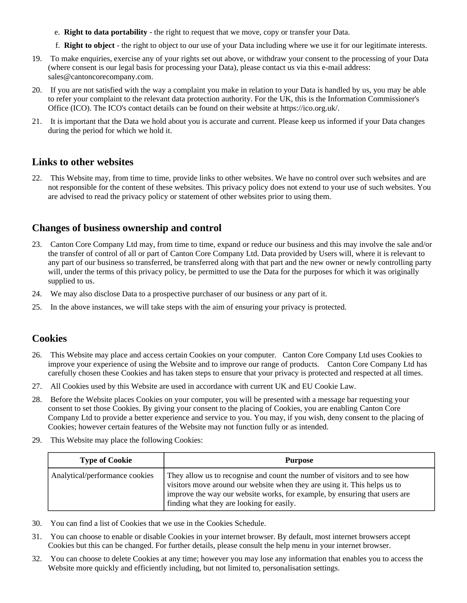- e. **Right to data portability** the right to request that we move, copy or transfer your Data.
- f. **Right to object** the right to object to our use of your Data including where we use it for our legitimate interests.
- 19. To make enquiries, exercise any of your rights set out above, or withdraw your consent to the processing of your Data (where consent is our legal basis for processing your Data), please contact us via this e-mail address: sales@cantoncorecompany.com.
- 20. If you are not satisfied with the way a complaint you make in relation to your Data is handled by us, you may be able to refer your complaint to the relevant data protection authority. For the UK, this is the Information Commissioner's Office (ICO). The ICO's contact details can be found on their website at https://ico.org.uk/.
- 21. It is important that the Data we hold about you is accurate and current. Please keep us informed if your Data changes during the period for which we hold it.

#### **Links to other websites**

22. This Website may, from time to time, provide links to other websites. We have no control over such websites and are not responsible for the content of these websites. This privacy policy does not extend to your use of such websites. You are advised to read the privacy policy or statement of other websites prior to using them.

## **Changes of business ownership and control**

- 23. Canton Core Company Ltd may, from time to time, expand or reduce our business and this may involve the sale and/or the transfer of control of all or part of Canton Core Company Ltd. Data provided by Users will, where it is relevant to any part of our business so transferred, be transferred along with that part and the new owner or newly controlling party will, under the terms of this privacy policy, be permitted to use the Data for the purposes for which it was originally supplied to us.
- 24. We may also disclose Data to a prospective purchaser of our business or any part of it.
- 25. In the above instances, we will take steps with the aim of ensuring your privacy is protected.

## **Cookies**

- 26. This Website may place and access certain Cookies on your computer. Canton Core Company Ltd uses Cookies to improve your experience of using the Website and to improve our range of products. Canton Core Company Ltd has carefully chosen these Cookies and has taken steps to ensure that your privacy is protected and respected at all times.
- 27. All Cookies used by this Website are used in accordance with current UK and EU Cookie Law.
- 28. Before the Website places Cookies on your computer, you will be presented with a message bar requesting your consent to set those Cookies. By giving your consent to the placing of Cookies, you are enabling Canton Core Company Ltd to provide a better experience and service to you. You may, if you wish, deny consent to the placing of Cookies; however certain features of the Website may not function fully or as intended.
- 29. This Website may place the following Cookies:

| <b>Type of Cookie</b>          | Purpose                                                                                                                                                                                                                                                                            |
|--------------------------------|------------------------------------------------------------------------------------------------------------------------------------------------------------------------------------------------------------------------------------------------------------------------------------|
| Analytical/performance cookies | They allow us to recognise and count the number of visitors and to see how<br>visitors move around our website when they are using it. This helps us to<br>improve the way our website works, for example, by ensuring that users are<br>finding what they are looking for easily. |

- 30. You can find a list of Cookies that we use in the Cookies Schedule.
- 31. You can choose to enable or disable Cookies in your internet browser. By default, most internet browsers accept Cookies but this can be changed. For further details, please consult the help menu in your internet browser.
- 32. You can choose to delete Cookies at any time; however you may lose any information that enables you to access the Website more quickly and efficiently including, but not limited to, personalisation settings.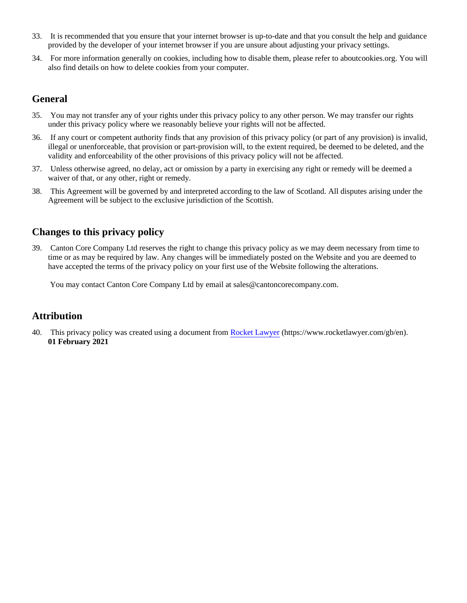- 33. It is recommended that you ensure that your internet browser is up-to-date and that you consult the help and guidance provided by the developer of your internet browser if you are unsure about adjusting your privacy settings.
- 34. For more information generally on cookies, including how to disable them, please refer to aboutcookies.org. You will also find details on how to delete cookies from your computer.

## **General**

- 35. You may not transfer any of your rights under this privacy policy to any other person. We may transfer our rights under this privacy policy where we reasonably believe your rights will not be affected.
- 36. If any court or competent authority finds that any provision of this privacy policy (or part of any provision) is invalid, illegal or unenforceable, that provision or part-provision will, to the extent required, be deemed to be deleted, and the validity and enforceability of the other provisions of this privacy policy will not be affected.
- 37. Unless otherwise agreed, no delay, act or omission by a party in exercising any right or remedy will be deemed a waiver of that, or any other, right or remedy.
- 38. This Agreement will be governed by and interpreted according to the law of Scotland. All disputes arising under the Agreement will be subject to the exclusive jurisdiction of the Scottish.

# **Changes to this privacy policy**

39. Canton Core Company Ltd reserves the right to change this privacy policy as we may deem necessary from time to time or as may be required by law. Any changes will be immediately posted on the Website and you are deemed to have accepted the terms of the privacy policy on your first use of the Website following the alterations.

You may contact Canton Core Company Ltd by email at sales@cantoncorecompany.com.

## **Attribution**

40. This privacy policy was created using a document from [Rocket Lawyer](https://www.rocketlawyer.com/gb/en/) (https://www.rocketlawyer.com/gb/en). **01 February 2021**